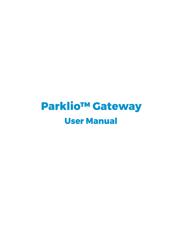# **Parklio™ Gateway User Manual**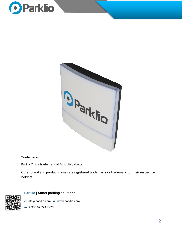



#### **Trademarks**

Parklio™ is a trademark of Amplifico d.o.o.

Other brand and product names are registered trademarks or trademarks of their respective holders.

#### **Parklio | Smart parking solutions**

**e:** info@parklio.com | **w:** www.parklio.com

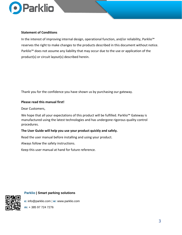

#### **Statement of Conditions**

In the interest of improving internal design, operational function, and/or reliability, Parklio™ reserves the right to make changes to the products described in this document without notice. Parklio<sup>™</sup> does not assume any liability that may occur due to the use or application of the product(s) or circuit layout(s) described herein.

Thank you for the confidence you have shown us by purchasing our gateway.

#### **Please read this manual first!**

Dear Customers,

We hope that all your expectations of this product will be fulfilled. Parklio<sup>™</sup> Gateway is manufactured using the latest technologies and has undergone rigorous quality control procedures.

#### **The User Guide will help you use your product quickly and safely.**

Read the user manual before installing and using your product.

Always follow the safety instructions.

Keep this user manual at hand for future reference.

**Parklio | Smart parking solutions**

**e:** info@parklio.com | **w:** www.parklio.com

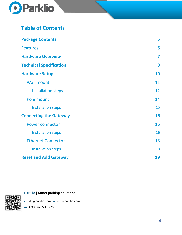

# **Table of Contents**

| <b>Package Contents</b>        | 5  |
|--------------------------------|----|
| <b>Features</b>                | 6  |
| <b>Hardware Overview</b>       | 7  |
| <b>Technical Specification</b> | 9  |
| <b>Hardware Setup</b>          | 10 |
| <b>Wall mount</b>              | 11 |
| <b>Installation steps</b>      | 12 |
| Pole mount                     | 14 |
| <b>Installation steps</b>      | 15 |
| <b>Connecting the Gateway</b>  | 16 |
| <b>Power connector</b>         | 16 |
| <b>Installation steps</b>      | 16 |
| <b>Ethernet Connector</b>      | 18 |
| <b>Installation steps</b>      | 18 |
| <b>Reset and Add Gateway</b>   | 19 |

**Parklio | Smart parking solutions**

**e:** info@parklio.com | **w:** www.parklio.com

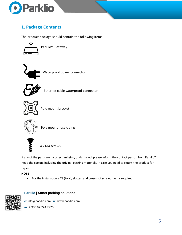

# **1. Package Contents**

The product package should contain the following items:



Parklio™ Gateway



Waterproof power connector



Ethernet cable waterproof connector



Pole mount bracket



Pole mount hose clamp



4 x M4 screws

If any of the parts are incorrect, missing, or damaged, please inform the contact person from Parklio™. Keep the carton, including the original packing materials, in case you need to return the product for repair.

**NOTE** 

● For the installation a T8 (torx), slotted and cross-slot screwdriver is required



# **Parklio | Smart parking solutions**

**e:** info@parklio.com | **w:** www.parklio.com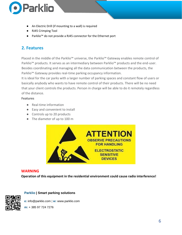

- An Electric Drill (if mounting to a wall) is required
- RJ45 Crimping Tool
- Parklio™ do not provide a RJ45 connector for the Ethernet port

# **2. Features**

Placed in the middle of the Parklio™ universe, the Parklio™ Gateway enables remote control of Parklio<sup>™</sup> products. It serves as an intermediary between Parklio<sup>™</sup> products and the end-user. Besides coordinating and managing all the data communication between the products, the Parklio<sup>™</sup> Gateway provides real-time parking occupancy information.

It is ideal for the car parks with a larger number of parking spaces and constant flow of users or basically anybody who wants to have remote control of their products. There will be no need that your client controls the products. Person in charge will be able to do it remotely regardless of the distance.

#### **Features**

- Real-time information
- Easy and convenient to install
- Controls up to 20 products
- The diameter of up to 100 m



# **WARNING**

**Operation of this equipment in the residential environment could cause radio interference!** 



#### **Parklio | Smart parking solutions**

**e:** info@parklio.com | **w:** www.parklio.com

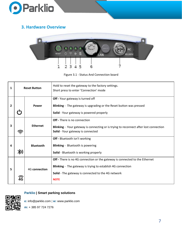

# **3. Hardware Overview**



Figure 3.1 - Status And Connection board

| 1 | <b>Reset Button</b> |                  | Hold to reset the gateway to the factory settings.<br>Short press to enter 'Connection' mode                                                                                                                           |
|---|---------------------|------------------|------------------------------------------------------------------------------------------------------------------------------------------------------------------------------------------------------------------------|
| 2 |                     | Power            | Off - Your gateway is turned off<br>Blinking - The gateway is upgrading or the Reset button was pressed<br>Solid - Your gateway is powered properly                                                                    |
| 3 |                     | <b>Ethernet</b>  | Off - There is no connection<br><b>Blinking</b> - Your gateway is connecting or is trying to reconnect after lost connection<br>Solid - Your gateway is connected                                                      |
| 4 |                     | <b>Bluetooth</b> | Off - Bluetooth isn't working<br><b>Blinking</b> - Bluetooth is powering<br>Solid - Bluetooth is working properly                                                                                                      |
| 5 |                     | 4G connection    | <b>Off</b> - There is no 4G connection or the gateway is connected to the Ethernet<br>Blinking - The gateway is trying to establish 4G connection<br>Solid - The gateway is connected to the 4G network<br><b>NOTE</b> |

## **Parklio | Smart parking solutions**

**e:** info@parklio.com | **w:** www.parklio.com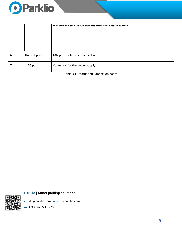

|   |                      | 4G connection available exclusively in case of SIM card embedded by Parklio. |
|---|----------------------|------------------------------------------------------------------------------|
| 6 | <b>Ethernet port</b> | LAN port for Internet connection                                             |
|   | <b>AC port</b>       | Connector for the power supply                                               |

Table 3.1 - Status and Connection board

**Parklio | Smart parking solutions**

**e:** info@parklio.com | **w:** www.parklio.com

**m:** + 385 97 724 7276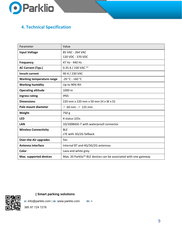

# **4. Technical Specification**

| Parameter                        | Value                                                                       |
|----------------------------------|-----------------------------------------------------------------------------|
| <b>Input Voltage</b>             | 85 VAC - 264 VAC                                                            |
|                                  | 120 VDC - 370 VDC                                                           |
| <b>Frequency</b>                 | 47 Hz - 440 Hz                                                              |
| <b>AC Current (Typ.)</b>         | 0.35 A / 230 VAC $(1)$                                                      |
| <b>Inrush current</b>            | 40 A / 230 VAC                                                              |
| <b>Working temperature range</b> | $-20 °C - +60 °C$                                                           |
| <b>Working humidity</b>          | Up to 90% RH                                                                |
| <b>Operating altitude</b>        | 1000 m                                                                      |
| <b>Ingress rating</b>            | <b>IP65</b>                                                                 |
| <b>Dimensions</b>                | 220 mm x 220 mm x 50 mm (H x W x D)                                         |
| Pole mount diameter              | $\varnothing$ 60 mm - $\varnothing$ 125 mm                                  |
| Weight                           | 750 g                                                                       |
| <b>LED</b>                       | 4 status LEDs                                                               |
| <b>LAN</b>                       | 10/100BASE-T with waterproof connector                                      |
| <b>Wireless Connectivity</b>     | <b>BLE</b>                                                                  |
|                                  | LTE with 3G/2G fallback                                                     |
| <b>Over-the-Air upgrades</b>     | Yes                                                                         |
| Antenna interface                | Internal BT and 4G/3G/2G antennas                                           |
| Color                            | Lava and white grey                                                         |
| Max. supported devices           | Max. 20 Parklio <sup>™</sup> BLE devices can be associated with one gateway |



**| Smart parking solutions**

**e:** info@parklio.com | **w:** www.parklio.com **m:** +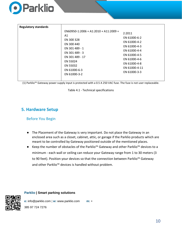

| <b>Regulatory standards</b> |                                                                                                                                                                                          |                                                                                                                                                         |
|-----------------------------|------------------------------------------------------------------------------------------------------------------------------------------------------------------------------------------|---------------------------------------------------------------------------------------------------------------------------------------------------------|
|                             | $EN60950-1:2006 + A1:2010 + A11:2009 +$<br>A1<br>EN 300 328<br>EN 300 440<br>EN 301 489 - 1<br>EN 301 489 - 3<br>EN 301 489 - 17<br>EN 55024<br>EN 55032<br>EN 61000-6-3<br>EN 61000-3-2 | 2:2011<br>EN 61000-6-2<br>EN 61000-4-2<br>EN 61000-4-3<br>EN 61000-4-4<br>EN 61000-4-5<br>EN 61000-4-6<br>EN 61000-4-8<br>EN 61000-4-11<br>EN 61000-3-3 |

(1) Parklio™ Gateway power supply input is protected with a 0.5 A 250 VAC fuse. The fuse is not user replaceable.

Table 4.1 - Technical specifications

# **5. Hardware Setup**

# Before You Begin

- The Placement of the Gateway is very important. Do not place the Gateway in an enclosed area such as a closet, cabinet, attic, or garage if the Parklio products which are meant to be controlled by Gateway positioned outside of the mentioned places.
- Keep the number of obstacles of the Parklio™ Gateway and other Parklio™ devices to a minimum - each wall or ceiling can reduce your Gateway range from 1 to 30 meters (3 to 90 feet). Position your devices so that the connection between Parklio™ Gateway and other Parklio<sup>™</sup> devices is handled without problem.

**Parklio | Smart parking solutions**



**e:** info@parklio.com | **w:** www.parklio.com **m:** +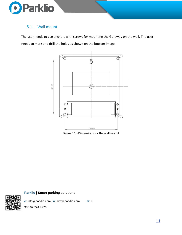

# 5.1. Wall mount

The user needs to use anchors with screws for mounting the Gateway on the wall. The user needs to mark and drill the holes as shown on the bottom image.



Figure 5.1 - Dimensions for the wall mount

# **Parklio | Smart parking solutions**

**e:** info@parklio.com | **w:** www.parklio.com **m:** +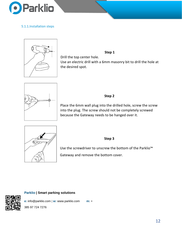

### 5.1.1.Installation steps



**Step 1** 

Drill the top center hole. Use an electric drill with a 6mm masonry bit to drill the hole at the desired spot.



# **Step 2**

Place the 6mm wall plug into the drilled hole, screw the screw into the plug. The screw should not be completely screwed because the Gateway needs to be hanged over it.



#### **Step 3**

Use the screwdriver to unscrew the bottom of the Parklio™ Gateway and remove the bottom cover.

**Parklio | Smart parking solutions**

**e:** info@parklio.com | **w:** www.parklio.com **m:** +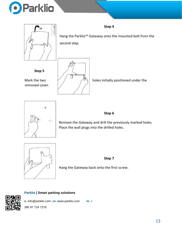



**Step 5** 

removed cover.

Hang the Parklio™ Gateway onto the mounted bolt from the second step.

**Step 4** 

Mark the two  $\vert A \vert$   $\vert A \vert$  holes initially positioned under the



# **Step 6**

Remove the Gateway and drill the previously marked holes. Place the wall plugs into the drilled holes.



**Step 7** 

Hang the Gateway back onto the first screw.

# **Parklio | Smart parking solutions**

**e:** info@parklio.com | **w:** www.parklio.com **m:** +



385 97 724 7276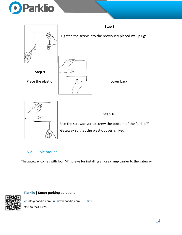



Gateway so that the plastic cover is fixed.

# 5.2. Pole mount

The gateway comes with four M4 screws for installing a hose clamp carrier to the gateway.

### **Parklio | Smart parking solutions**

**e:** info@parklio.com | **w:** www.parklio.com **m:** + 385 97 724 7276

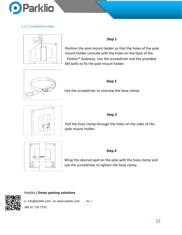

### 5.2.1.Installation steps



# **Step 1**

Position the pole mount holder so that the holes of the pole mount holder coincide with the holes on the back of the Parklio™ Gateway. Use the screwdriver and the provided M4 bolts to fix the pole mount holder.



### **Step 2**

Use the screwdriver to unscrew the hose clamp.



#### **Step 3**

Pull the hose clamp through the holes on the sides of the pole mount holder.



#### **Step 4**

Wrap the desired spot on the pole with the hose clamp and use the screwdriver to tighten the hose clamp.

## **Parklio | Smart parking solutions**

**e:** info@parklio.com | **w:** www.parklio.com **m:** +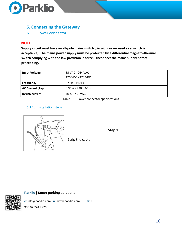

# **6. Connecting the Gateway**

6.1. Power connector

# **NOTE**

**Supply circuit must have an all-pole mains switch (circuit breaker used as a switch is acceptable). The mains power supply must be protected by a differential magneto-thermal switch complying with the law provision in force. Disconnect the mains supply before proceeding.**

| <b>Input Voltage</b> | 85 VAC - 264 VAC       |
|----------------------|------------------------|
|                      | 120 VDC - 370 VDC      |
| <b>Frequency</b>     | 47 Hz - 440 Hz         |
| AC Current (Typ.)    | 0.35 A / 230 VAC $(1)$ |
| Inrush current       | 40 A / 230 VAC         |
|                      | _ _ _ _ _ _<br>$\sim$  |

Table 6.1 - Power connector specifications

**Step 1** 

#### 6.1.1. Installation steps



Strip the cable

### **Parklio | Smart parking solutions**



**e:** info@parklio.com | **w:** www.parklio.com **m:** +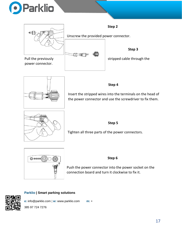







Insert the stripped wires into the terminals on the head of the power connector and use the screwdriver to fix them.



# **Step 5**

Tighten all three parts of the power connectors.



## **Step 6**

Push the power connector into the power socket on the connection board and turn it clockwise to fix it.

# **Parklio | Smart parking solutions**



**e:** info@parklio.com | **w:** www.parklio.com **m:** +

385 97 724 7276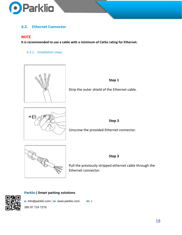

# **6.2. Ethernet Connector**

# **NOTE**

**It is recommended to use a cable with a minimum of Cat5e rating for Ethernet.** 

6.2.1. Installation steps





Strip the outer shield of the Ethernet cable.



**Step 3** 

Unscrew the provided Ethernet connector.



Pull the previously stripped ethernet cable through the Ethernet connector.

**Step 3** 

# **Parklio | Smart parking solutions**



**e:** info@parklio.com | **w:** www.parklio.com **m:** +

385 97 724 7276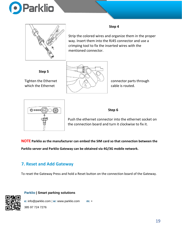



### **Step 4**

Strip the colored wires and organize them in the proper way. Insert them into the RJ45 connector and use a crimping tool to fix the inserted wires with the mentioned connector.

**Step 5** 





# **Step 6**

Push the ethernet connector into the ethernet socket on the connection board and turn it clockwise to fix it.

**NOTE Parklio as the manufacturer can embed the SIM card so that connection between the** 

**Parklio server and Parklio Gateway can be obtained via 4G/3G mobile network.** 

# **7. Reset and Add Gateway**

To reset the Gateway Press and hold a Reset button on the connection board of the Gateway.